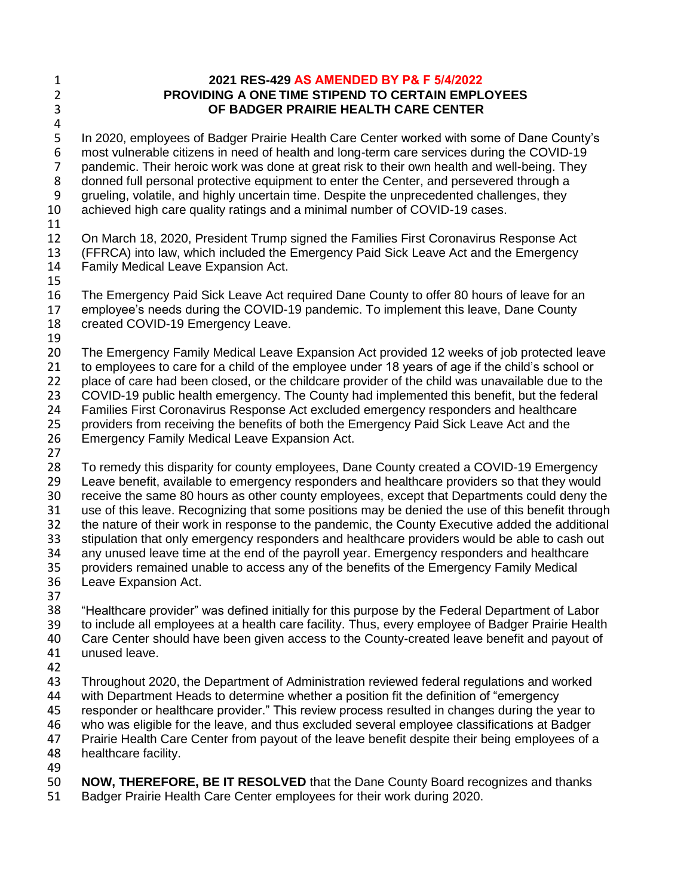1 2 3

4

## **2021 RES-429 AS AMENDED BY P& F 5/4/2022 PROVIDING A ONE TIME STIPEND TO CERTAIN EMPLOYEES OF BADGER PRAIRIE HEALTH CARE CENTER**

5 6 7 8 9 10 In 2020, employees of Badger Prairie Health Care Center worked with some of Dane County's most vulnerable citizens in need of health and long-term care services during the COVID-19 pandemic. Their heroic work was done at great risk to their own health and well-being. They donned full personal protective equipment to enter the Center, and persevered through a grueling, volatile, and highly uncertain time. Despite the unprecedented challenges, they achieved high care quality ratings and a minimal number of COVID-19 cases.

11

12 13 14 On March 18, 2020, President Trump signed the Families First Coronavirus Response Act (FFRCA) into law, which included the Emergency Paid Sick Leave Act and the Emergency Family Medical Leave Expansion Act.

15

16 17 The Emergency Paid Sick Leave Act required Dane County to offer 80 hours of leave for an employee's needs during the COVID-19 pandemic. To implement this leave, Dane County

- 18 created COVID-19 Emergency Leave.
- 19

20 21 22 23 24 The Emergency Family Medical Leave Expansion Act provided 12 weeks of job protected leave to employees to care for a child of the employee under 18 years of age if the child's school or place of care had been closed, or the childcare provider of the child was unavailable due to the COVID-19 public health emergency. The County had implemented this benefit, but the federal Families First Coronavirus Response Act excluded emergency responders and healthcare

25 providers from receiving the benefits of both the Emergency Paid Sick Leave Act and the

- 26 Emergency Family Medical Leave Expansion Act.
- 27

28 29 30 31 32 33 34 35 36 37 To remedy this disparity for county employees, Dane County created a COVID-19 Emergency Leave benefit, available to emergency responders and healthcare providers so that they would receive the same 80 hours as other county employees, except that Departments could deny the use of this leave. Recognizing that some positions may be denied the use of this benefit through the nature of their work in response to the pandemic, the County Executive added the additional stipulation that only emergency responders and healthcare providers would be able to cash out any unused leave time at the end of the payroll year. Emergency responders and healthcare providers remained unable to access any of the benefits of the Emergency Family Medical Leave Expansion Act.

38 39 40 41 "Healthcare provider" was defined initially for this purpose by the Federal Department of Labor to include all employees at a health care facility. Thus, every employee of Badger Prairie Health Care Center should have been given access to the County-created leave benefit and payout of unused leave.

42

43 44 Throughout 2020, the Department of Administration reviewed federal regulations and worked with Department Heads to determine whether a position fit the definition of "emergency

45 responder or healthcare provider." This review process resulted in changes during the year to

46 who was eligible for the leave, and thus excluded several employee classifications at Badger

47 Prairie Health Care Center from payout of the leave benefit despite their being employees of a

48 healthcare facility.

49

50 **NOW, THEREFORE, BE IT RESOLVED** that the Dane County Board recognizes and thanks 51 Badger Prairie Health Care Center employees for their work during 2020.